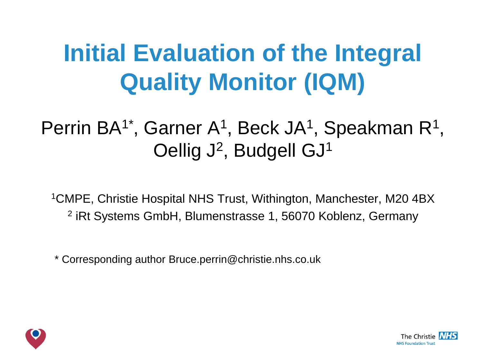## **Initial Evaluation of the Integral Quality Monitor (IQM)**

#### Perrin BA<sup>1\*</sup>, Garner A<sup>1</sup>, Beck JA<sup>1</sup>, Speakman R<sup>1</sup>, Oellig J<sup>2</sup>, Budgell GJ<sup>1</sup>

<sup>1</sup>CMPE, Christie Hospital NHS Trust, Withington, Manchester, M20 4BX 2 iRt Systems GmbH, Blumenstrasse 1, 56070 Koblenz, Germany

\* Corresponding author Bruce.perrin@christie.nhs.co.uk



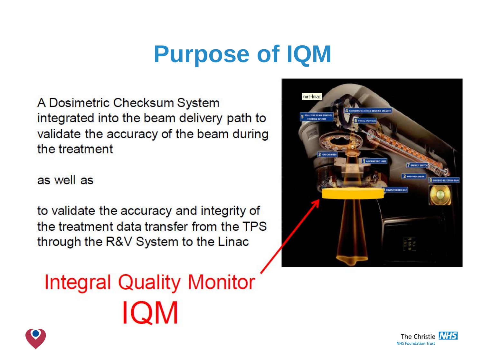## **Purpose of IQM**

A Dosimetric Checksum System integrated into the beam delivery path to<br>validate the accuracy of the beam during the treatment

as well as

to validate the accuracy and integrity of the treatment data transfer from the TPS<br>through the R&V System to the Linac

# **Integral Quality Monitor** IQM





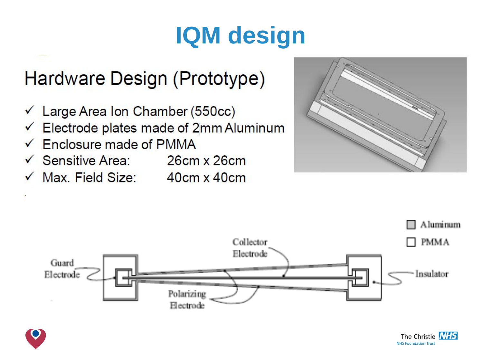# **IQM design**

#### Hardware Design (Prototype)

- $\checkmark$  Large Area Ion Chamber (550cc)
- $\checkmark$  Electrode plates made of 2 $\text{mm}$  Aluminum
- 
- $\checkmark$  Enclosure made of PMMA<br> $\checkmark$  Sensitive Area: 26cm x 26cm
- Max. Field Size:  $40cm \times 40cm$



NHS Foundation Trust

The Christie **NHS** 



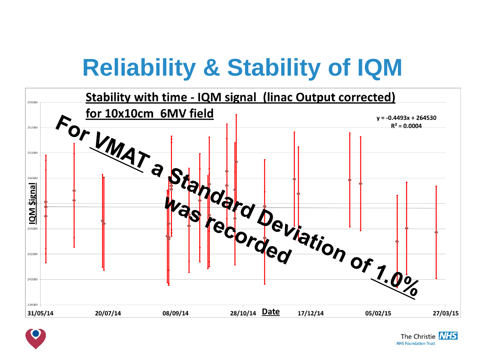## **Reliability & Stability of IQM**





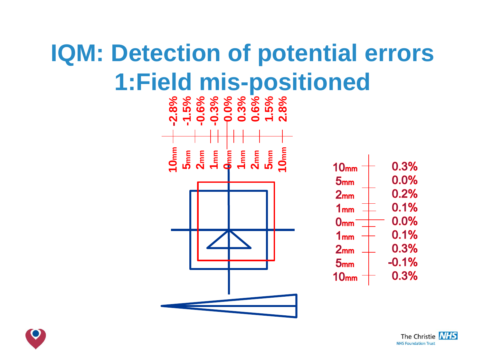# **IQM: Detection of potential errors 1:Field mis-positioned**



| 10 <sub>mm</sub>           | 0.3%    |
|----------------------------|---------|
| 5 <sub>mm</sub>            | 0.0%    |
| 2 <sub>mm</sub>            | 0.2%    |
| 1 <sub>mm</sub>            | 0.1%    |
| $\mathsf{0}_{\mathsf{mm}}$ | $0.0\%$ |
| 1 <sub>mm</sub>            | 0.1%    |
| 2 <sub>mm</sub>            | 0.3%    |
| 5 <sub>mm</sub>            | $-0.1%$ |
| 10 <sub>mm</sub>           | 0.3%    |
|                            |         |



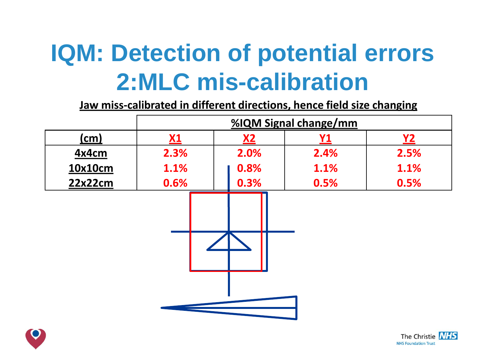## **IQM: Detection of potential errors 2:MLC mis-calibration**

**Jaw miss-calibrated in different directions, hence field size changing** 





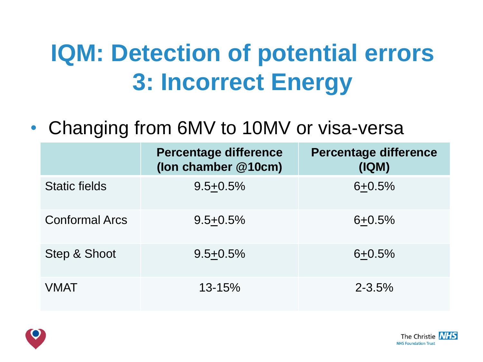## **IQM: Detection of potential errors 3: Incorrect Energy**

• Changing from 6MV to 10MV or visa-versa

|                       | <b>Percentage difference</b><br>(Ion chamber @10cm) | <b>Percentage difference</b><br>(IQM) |
|-----------------------|-----------------------------------------------------|---------------------------------------|
| <b>Static fields</b>  | $9.5 + 0.5%$                                        | $6 + 0.5%$                            |
| <b>Conformal Arcs</b> | $9.5 + 0.5%$                                        | $6 + 0.5%$                            |
| Step & Shoot          | $9.5 + 0.5%$                                        | $6 + 0.5%$                            |
| VMAT                  | $13 - 15%$                                          | $2 - 3.5%$                            |



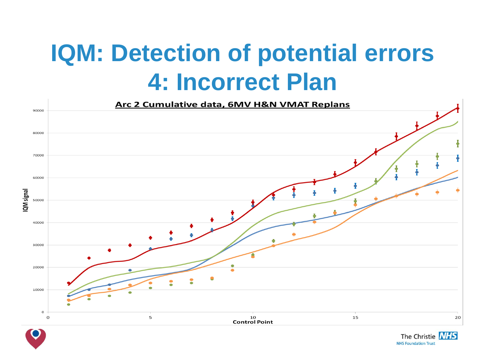## **IQM: Detection of potential errors 4: Incorrect Plan**





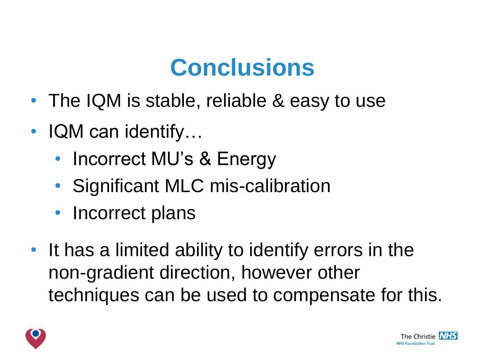### **Conclusions**

- The IQM is stable, reliable & easy to use
- IQM can identify...
	- Incorrect MU's & Energy
	- Significant MLC mis-calibration
	- Incorrect plans
- It has a limited ability to identify errors in the non-gradient direction, however other techniques can be used to compensate for this.